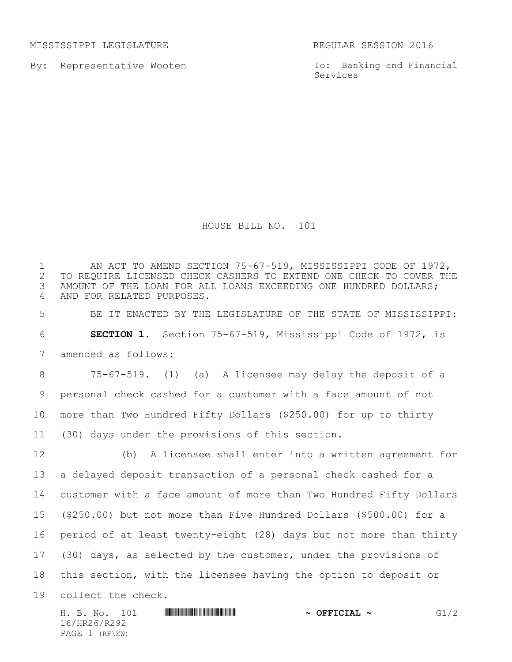MISSISSIPPI LEGISLATURE REGULAR SESSION 2016

By: Representative Wooten

To: Banking and Financial Services

## HOUSE BILL NO. 101

1 AN ACT TO AMEND SECTION 75-67-519, MISSISSIPPI CODE OF 1972,<br>2 TO REQUIRE LICENSED CHECK CASHERS TO EXTEND ONE CHECK TO COVER TH 2 TO REQUIRE LICENSED CHECK CASHERS TO EXTEND ONE CHECK TO COVER THE 3 AMOUNT OF THE LOAN FOR ALL LOANS EXCEEDING ONE HUNDRED DOLLARS; AMOUNT OF THE LOAN FOR ALL LOANS EXCEEDING ONE HUNDRED DOLLARS; AND FOR RELATED PURPOSES. BE IT ENACTED BY THE LEGISLATURE OF THE STATE OF MISSISSIPPI: **SECTION 1.** Section 75-67-519, Mississippi Code of 1972, is amended as follows: 75-67-519. (1) (a) A licensee may delay the deposit of a personal check cashed for a customer with a face amount of not more than Two Hundred Fifty Dollars (\$250.00) for up to thirty (30) days under the provisions of this section. (b) A licensee shall enter into a written agreement for a delayed deposit transaction of a personal check cashed for a customer with a face amount of more than Two Hundred Fifty Dollars (\$250.00) but not more than Five Hundred Dollars (\$500.00) for a period of at least twenty-eight (28) days but not more than thirty (30) days, as selected by the customer, under the provisions of this section, with the licensee having the option to deposit or collect the check.

| H. B. No.      | <u> I TELEVISION DE LE TRES EN 1999 DE LE TRES EN 1999 DE LE TRES EN 1999 DE LE TRES EN 1999 DE LE TRES EN 1999 D</u> | $\sim$ OFFICIAL $\sim$ | G1/2 |
|----------------|-----------------------------------------------------------------------------------------------------------------------|------------------------|------|
| 16/HR26/R292   |                                                                                                                       |                        |      |
| PAGE 1 (RF\KW) |                                                                                                                       |                        |      |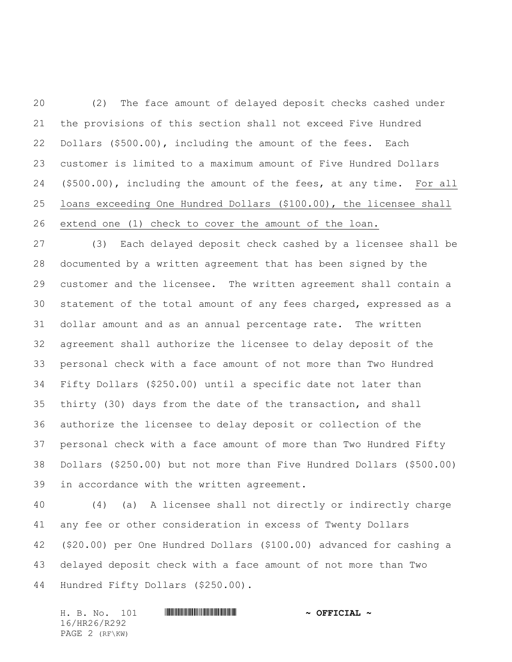(2) The face amount of delayed deposit checks cashed under the provisions of this section shall not exceed Five Hundred Dollars (\$500.00), including the amount of the fees. Each customer is limited to a maximum amount of Five Hundred Dollars (\$500.00), including the amount of the fees, at any time. For all loans exceeding One Hundred Dollars (\$100.00), the licensee shall extend one (1) check to cover the amount of the loan.

 (3) Each delayed deposit check cashed by a licensee shall be documented by a written agreement that has been signed by the customer and the licensee. The written agreement shall contain a statement of the total amount of any fees charged, expressed as a dollar amount and as an annual percentage rate. The written agreement shall authorize the licensee to delay deposit of the personal check with a face amount of not more than Two Hundred Fifty Dollars (\$250.00) until a specific date not later than thirty (30) days from the date of the transaction, and shall authorize the licensee to delay deposit or collection of the personal check with a face amount of more than Two Hundred Fifty Dollars (\$250.00) but not more than Five Hundred Dollars (\$500.00) in accordance with the written agreement.

 (4) (a) A licensee shall not directly or indirectly charge any fee or other consideration in excess of Twenty Dollars (\$20.00) per One Hundred Dollars (\$100.00) advanced for cashing a delayed deposit check with a face amount of not more than Two Hundred Fifty Dollars (\$250.00).

H. B. No. 101 **. AND AND AN ABLE AND AN ABLE AND ADDRESS AND A** 16/HR26/R292 PAGE 2 (RF\KW)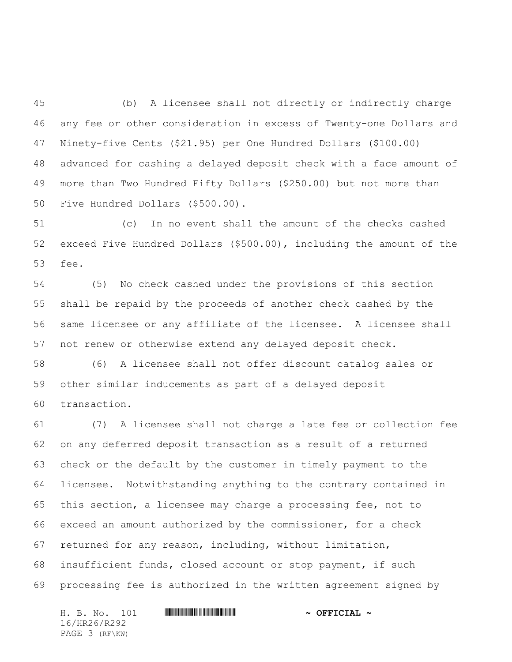(b) A licensee shall not directly or indirectly charge any fee or other consideration in excess of Twenty-one Dollars and Ninety-five Cents (\$21.95) per One Hundred Dollars (\$100.00) advanced for cashing a delayed deposit check with a face amount of more than Two Hundred Fifty Dollars (\$250.00) but not more than Five Hundred Dollars (\$500.00).

 (c) In no event shall the amount of the checks cashed exceed Five Hundred Dollars (\$500.00), including the amount of the fee.

 (5) No check cashed under the provisions of this section shall be repaid by the proceeds of another check cashed by the same licensee or any affiliate of the licensee. A licensee shall not renew or otherwise extend any delayed deposit check.

 (6) A licensee shall not offer discount catalog sales or other similar inducements as part of a delayed deposit transaction.

 (7) A licensee shall not charge a late fee or collection fee on any deferred deposit transaction as a result of a returned check or the default by the customer in timely payment to the licensee. Notwithstanding anything to the contrary contained in this section, a licensee may charge a processing fee, not to exceed an amount authorized by the commissioner, for a check returned for any reason, including, without limitation, insufficient funds, closed account or stop payment, if such processing fee is authorized in the written agreement signed by

H. B. No. 101 \*HR26/R292\* **~ OFFICIAL ~** 16/HR26/R292 PAGE 3 (RF\KW)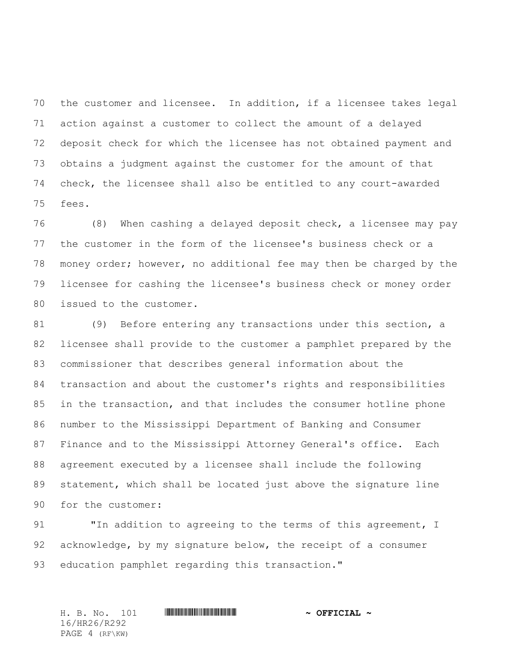the customer and licensee. In addition, if a licensee takes legal action against a customer to collect the amount of a delayed deposit check for which the licensee has not obtained payment and obtains a judgment against the customer for the amount of that check, the licensee shall also be entitled to any court-awarded fees.

 (8) When cashing a delayed deposit check, a licensee may pay the customer in the form of the licensee's business check or a money order; however, no additional fee may then be charged by the licensee for cashing the licensee's business check or money order issued to the customer.

 (9) Before entering any transactions under this section, a licensee shall provide to the customer a pamphlet prepared by the commissioner that describes general information about the transaction and about the customer's rights and responsibilities in the transaction, and that includes the consumer hotline phone number to the Mississippi Department of Banking and Consumer Finance and to the Mississippi Attorney General's office. Each agreement executed by a licensee shall include the following statement, which shall be located just above the signature line for the customer:

**"In addition to agreeing to the terms of this agreement, I**  acknowledge, by my signature below, the receipt of a consumer 93 education pamphlet regarding this transaction."

H. B. No. 101 \*HR26/R292\* **~ OFFICIAL ~** 16/HR26/R292 PAGE 4 (RF\KW)